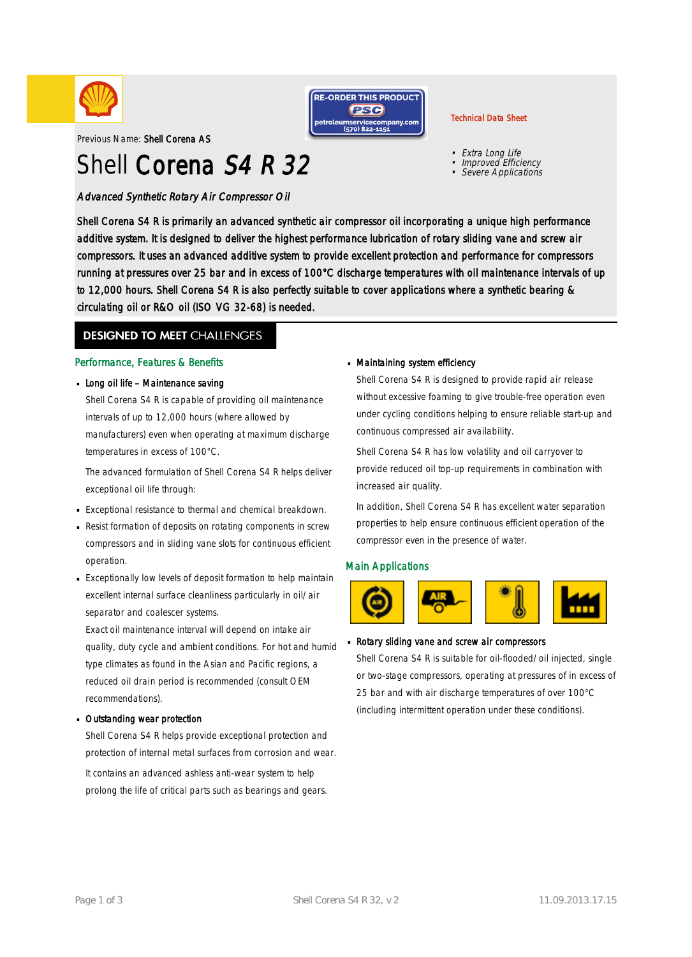



# Shell Corena S4 R 32

Advanced Synthetic Rotary Air Compressor Oil



#### Technical Data Sheet

- Extra Long Life
- Improved Efficiency
- •Severe Applications

Shell Corena S4 R is primarily an advanced synthetic air compressor oil incorporating a unique high performance additive system. It is designed to deliver the highest performance lubrication of rotary sliding vane and screw air compressors. It uses an advanced additive system to provide excellent protection and performance for compressors running at pressures over 25 bar and in excess of 100°C discharge temperatures with oil maintenance intervals of up to 12,000 hours. Shell Corena S4 R is also perfectly suitable to cover applications where a synthetic bearing & circulating oil or R&O oil (ISO VG 32-68) is needed.

### **DESIGNED TO MEET CHALLENGES**

#### Performance, Features & Benefits

**Long oil life - Maintenance saving** 

Shell Corena S4 R is capable of providing oil maintenance intervals of up to 12,000 hours (where allowed by manufacturers) even when operating at maximum discharge temperatures in excess of 100°C.

The advanced formulation of Shell Corena S4 R helps deliver exceptional oil life through:

- Exceptional resistance to thermal and chemical breakdown. ·
- **Resist formation of deposits on rotating components in screw** compressors and in sliding vane slots for continuous efficient operation.
- Exceptionally low levels of deposit formation to help maintain · excellent internal surface cleanliness particularly in oil/air separator and coalescer systems.

Exact oil maintenance interval will depend on intake air quality, duty cycle and ambient conditions. For hot and humid type climates as found in the Asian and Pacific regions, a reduced oil drain period is recommended (consult OEM recommendations).

#### Outstanding wear protection ·

Shell Corena S4 R helps provide exceptional protection and protection of internal metal surfaces from corrosion and wear. It contains an advanced ashless anti-wear system to help prolong the life of critical parts such as bearings and gears.

#### Maintaining system efficiency ·

Shell Corena S4 R is designed to provide rapid air release without excessive foaming to give trouble-free operation even under cycling conditions helping to ensure reliable start-up and continuous compressed air availability.

Shell Corena S4 R has low volatility and oil carryover to provide reduced oil top-up requirements in combination with increased air quality.

In addition, Shell Corena S4 R has excellent water separation properties to help ensure continuous efficient operation of the compressor even in the presence of water.

#### Main Applications



#### Rotary sliding vane and screw air compressors ·

Shell Corena S4 R is suitable for oil-flooded/oil injected, single or two-stage compressors, operating at pressures of in excess of 25 bar and with air discharge temperatures of over 100°C (including intermittent operation under these conditions).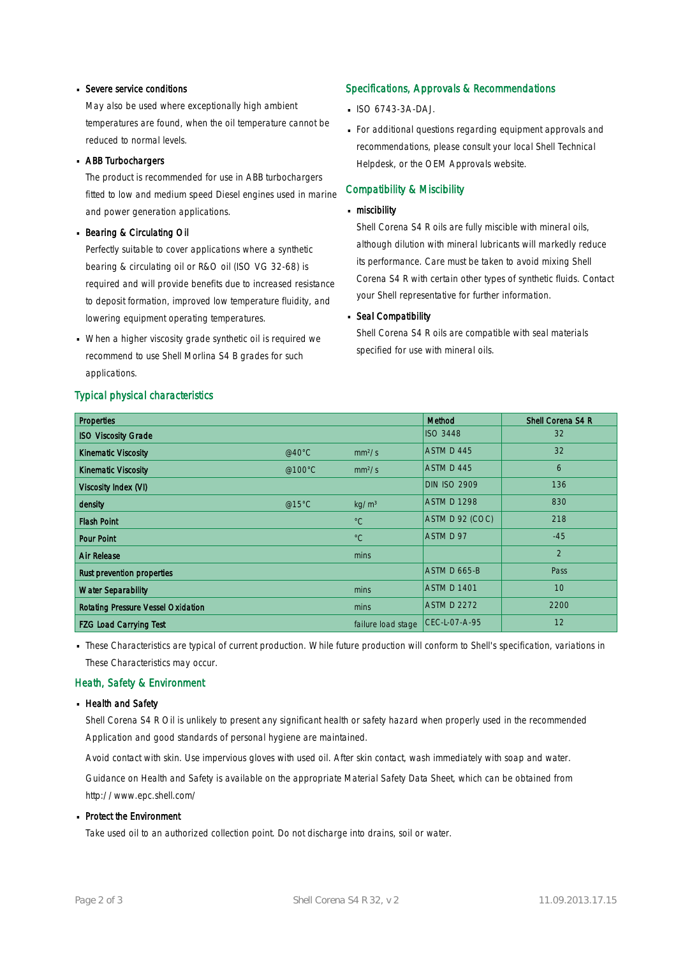# Severe service conditions ·

May also be used where exceptionally high ambient temperatures are found, when the oil temperature cannot be reduced to normal levels.

# ABB Turbochargers ·

The product is recommended for use in ABB turbochargers fitted to low and medium speed Diesel engines used in marine and power generation applications.

# **Bearing & Circulating Oil**

Perfectly suitable to cover applications where a synthetic bearing & circulating oil or R&O oil (ISO VG 32-68) is required and will provide benefits due to increased resistance to deposit formation, improved low temperature fluidity, and lowering equipment operating temperatures.

When a higher viscosity grade synthetic oil is required we · recommend to use Shell Morlina S4 B grades for such applications.

#### Typical physical characteristics

#### Specifications, Approvals & Recommendations

- $\blacksquare$  ISO 6743-3A-DAJ.
- For additional questions regarding equipment approvals and · recommendations, please consult your local Shell Technical Helpdesk, or the OEM Approvals website.

#### Compatibility & Miscibility

# miscibility ·

Shell Corena S4 R oils are fully miscible with mineral oils, although dilution with mineral lubricants will markedly reduce its performance. Care must be taken to avoid mixing Shell Corena S4 R with certain other types of synthetic fluids. Contact your Shell representative for further information.

# Seal Compatibility

Shell Corena S4 R oils are compatible with seal materials specified for use with mineral oils.

| <b>Properties</b>                         |                  |                    | Method              | Shell Corena S4 R |
|-------------------------------------------|------------------|--------------------|---------------------|-------------------|
| <b>ISO Viscosity Grade</b>                |                  |                    | <b>ISO 3448</b>     | 32                |
| <b>Kinematic Viscosity</b>                | @40 $^{\circ}$ C | mm <sup>2</sup> /s | ASTM D 445          | 32                |
| <b>Kinematic Viscosity</b>                | @100 $\degree$ C | mm <sup>2</sup> /s | ASTM D 445          | 6                 |
| Viscosity Index (VI)                      |                  |                    | <b>DIN ISO 2909</b> | 136               |
| density                                   | @15°C            | kg/m <sup>3</sup>  | <b>ASTM D 1298</b>  | 830               |
| <b>Flash Point</b>                        |                  | $^{\circ}C$        | ASTM D 92 (COC)     | 218               |
| <b>Pour Point</b>                         |                  | $^{\circ}C$        | ASTM D 97           | $-45$             |
| <b>Air Release</b>                        |                  | mins               |                     | 2                 |
| Rust prevention properties                |                  |                    | ASTM D 665-B        | Pass              |
| <b>Water Separability</b>                 |                  | mins               | <b>ASTM D 1401</b>  | 10                |
| <b>Rotating Pressure Vessel Oxidation</b> |                  | mins               | <b>ASTM D 2272</b>  | 2200              |
| <b>FZG Load Carrying Test</b>             |                  | failure load stage | CEC-L-07-A-95       | 12                |

· These Characteristics are typical of current production. While future production will conform to Shell's specification, variations in These Characteristics may occur.

#### Heath, Safety & Environment

#### **Health and Safety**

Shell Corena S4 R Oil is unlikely to present any significant health or safety hazard when properly used in the recommended Application and good standards of personal hygiene are maintained.

Avoid contact with skin. Use impervious gloves with used oil. After skin contact, wash immediately with soap and water.

Guidance on Health and Safety is available on the appropriate Material Safety Data Sheet, which can be obtained from http://www.epc.shell.com/

# • Protect the Environment

Take used oil to an authorized collection point. Do not discharge into drains, soil or water.